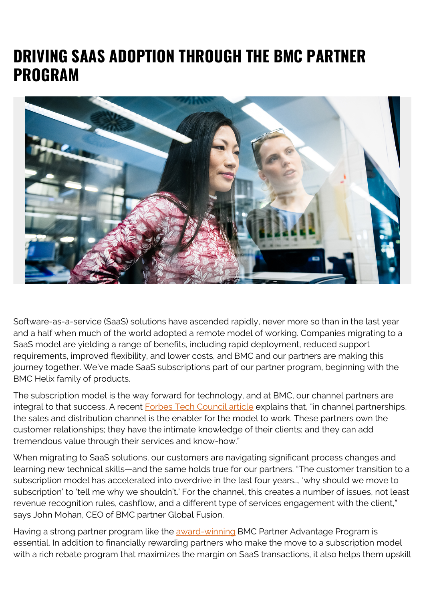## **DRIVING SAAS ADOPTION THROUGH THE BMC PARTNER PROGRAM**



Software-as-a-service (SaaS) solutions have ascended rapidly, never more so than in the last year and a half when much of the world adopted a remote model of working. Companies migrating to a SaaS model are yielding a range of benefits, including rapid deployment, reduced support requirements, improved flexibility, and lower costs, and BMC and our partners are making this journey together. We've made SaaS subscriptions part of our partner program, beginning with the BMC Helix family of products.

The subscription model is the way forward for technology, and at BMC, our channel partners are integral to that success. A recent **Forbes Tech Council article** explains that, "in channel partnerships, the sales and distribution channel is the enabler for the model to work. These partners own the customer relationships; they have the intimate knowledge of their clients; and they can add tremendous value through their services and know-how."

When migrating to SaaS solutions, our customers are navigating significant process changes and learning new technical skills—and the same holds true for our partners. "The customer transition to a subscription model has accelerated into overdrive in the last four years…, 'why should we move to subscription' to 'tell me why we shouldn't.' For the channel, this creates a number of issues, not least revenue recognition rules, cashflow, and a different type of services engagement with the client," says John Mohan, CEO of BMC partner Global Fusion.

Having a strong partner program like the [award-winning](https://www.crn.com/slide-shows/applications-os/2021-partner-program-guide-5-star-software-vendor-programs/5) BMC Partner Advantage Program is essential. In addition to financially rewarding partners who make the move to a subscription model with a rich rebate program that maximizes the margin on SaaS transactions, it also helps them upskill